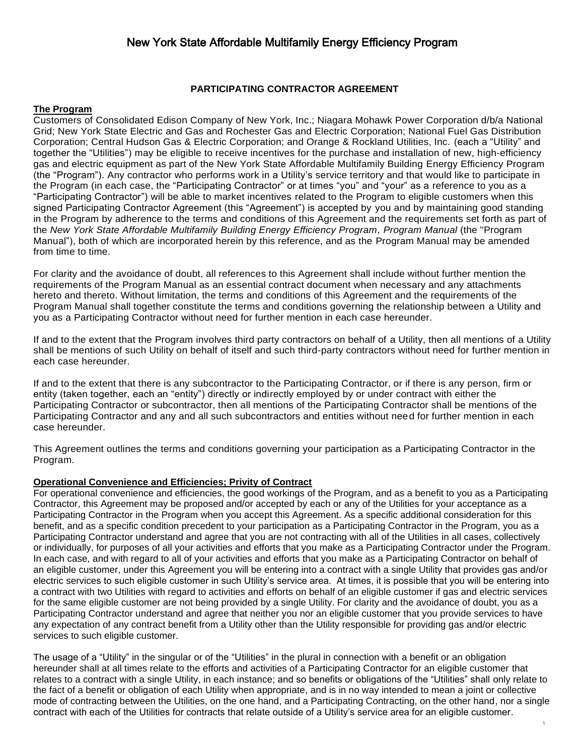#### **PARTICIPATING CONTRACTOR AGREEMENT**

#### **The Program**

Customers of Consolidated Edison Company of New York, Inc.; Niagara Mohawk Power Corporation d/b/a National Grid; New York State Electric and Gas and Rochester Gas and Electric Corporation; National Fuel Gas Distribution Corporation; Central Hudson Gas & Electric Corporation; and Orange & Rockland Utilities, Inc. (each a "Utility" and together the "Utilities") may be eligible to receive incentives for the purchase and installation of new, high-efficiency gas and electric equipment as part of the New York State Affordable Multifamily Building Energy Efficiency Program (the "Program"). Any contractor who performs work in a Utility's service territory and that would like to participate in the Program (in each case, the "Participating Contractor" or at times "you" and "your" as a reference to you as a "Participating Contractor") will be able to market incentives related to the Program to eligible customers when this signed Participating Contractor Agreement (this "Agreement") is accepted by you and by maintaining good standing in the Program by adherence to the terms and conditions of this Agreement and the requirements set forth as part of the *New York State Affordable Multifamily Building Energy Efficiency Program, Program Manual* (the "Program Manual"), both of which are incorporated herein by this reference, and as the Program Manual may be amended from time to time.

For clarity and the avoidance of doubt, all references to this Agreement shall include without further mention the requirements of the Program Manual as an essential contract document when necessary and any attachments hereto and thereto. Without limitation, the terms and conditions of this Agreement and the requirements of the Program Manual shall together constitute the terms and conditions governing the relationship between a Utility and you as a Participating Contractor without need for further mention in each case hereunder.

If and to the extent that the Program involves third party contractors on behalf of a Utility, then all mentions of a Utility shall be mentions of such Utility on behalf of itself and such third-party contractors without need for further mention in each case hereunder.

If and to the extent that there is any subcontractor to the Participating Contractor, or if there is any person, firm or entity (taken together, each an "entity") directly or indirectly employed by or under contract with either the Participating Contractor or subcontractor, then all mentions of the Participating Contractor shall be mentions of the Participating Contractor and any and all such subcontractors and entities without need for further mention in each case hereunder.

This Agreement outlines the terms and conditions governing your participation as a Participating Contractor in the Program.

#### **Operational Convenience and Efficiencies; Privity of Contract**

For operational convenience and efficiencies, the good workings of the Program, and as a benefit to you as a Participating Contractor, this Agreement may be proposed and/or accepted by each or any of the Utilities for your acceptance as a Participating Contractor in the Program when you accept this Agreement. As a specific additional consideration for this benefit, and as a specific condition precedent to your participation as a Participating Contractor in the Program, you as a Participating Contractor understand and agree that you are not contracting with all of the Utilities in all cases, collectively or individually, for purposes of all your activities and efforts that you make as a Participating Contractor under the Program. In each case, and with regard to all of your activities and efforts that you make as a Participating Contractor on behalf of an eligible customer, under this Agreement you will be entering into a contract with a single Utility that provides gas and/or electric services to such eligible customer in such Utility's service area. At times, it is possible that you will be entering into a contract with two Utilities with regard to activities and efforts on behalf of an eligible customer if gas and electric services for the same eligible customer are not being provided by a single Utility. For clarity and the avoidance of doubt, you as a Participating Contractor understand and agree that neither you nor an eligible customer that you provide services to have any expectation of any contract benefit from a Utility other than the Utility responsible for providing gas and/or electric services to such eligible customer.

The usage of a "Utility" in the singular or of the "Utilities" in the plural in connection with a benefit or an obligation hereunder shall at all times relate to the efforts and activities of a Participating Contractor for an eligible customer that relates to a contract with a single Utility, in each instance; and so benefits or obligations of the "Utilities" shall only relate to the fact of a benefit or obligation of each Utility when appropriate, and is in no way intended to mean a joint or collective mode of contracting between the Utilities, on the one hand, and a Participating Contracting, on the other hand, nor a single contract with each of the Utilities for contracts that relate outside of a Utility's service area for an eligible customer.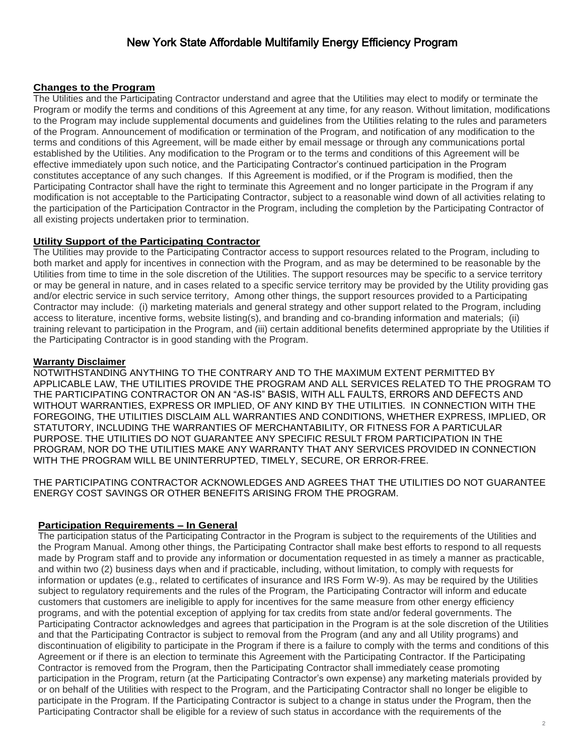#### **Changes to the Program**

The Utilities and the Participating Contractor understand and agree that the Utilities may elect to modify or terminate the Program or modify the terms and conditions of this Agreement at any time, for any reason. Without limitation, modifications to the Program may include supplemental documents and guidelines from the Utilities relating to the rules and parameters of the Program. Announcement of modification or termination of the Program, and notification of any modification to the terms and conditions of this Agreement, will be made either by email message or through any communications portal established by the Utilities. Any modification to the Program or to the terms and conditions of this Agreement will be effective immediately upon such notice, and the Participating Contractor's continued participation in the Program constitutes acceptance of any such changes. If this Agreement is modified, or if the Program is modified, then the Participating Contractor shall have the right to terminate this Agreement and no longer participate in the Program if any modification is not acceptable to the Participating Contractor, subject to a reasonable wind down of all activities relating to the participation of the Participation Contractor in the Program, including the completion by the Participating Contractor of all existing projects undertaken prior to termination.

#### **Utility Support of the Participating Contractor**

The Utilities may provide to the Participating Contractor access to support resources related to the Program, including to both market and apply for incentives in connection with the Program, and as may be determined to be reasonable by the Utilities from time to time in the sole discretion of the Utilities. The support resources may be specific to a service territory or may be general in nature, and in cases related to a specific service territory may be provided by the Utility providing gas and/or electric service in such service territory, Among other things, the support resources provided to a Participating Contractor may include: (i) marketing materials and general strategy and other support related to the Program, including access to literature, incentive forms, website listing(s), and branding and co-branding information and materials; (ii) training relevant to participation in the Program, and (iii) certain additional benefits determined appropriate by the Utilities if the Participating Contractor is in good standing with the Program.

#### **Warranty Disclaimer**

NOTWITHSTANDING ANYTHING TO THE CONTRARY AND TO THE MAXIMUM EXTENT PERMITTED BY APPLICABLE LAW, THE UTILITIES PROVIDE THE PROGRAM AND ALL SERVICES RELATED TO THE PROGRAM TO THE PARTICIPATING CONTRACTOR ON AN "AS-IS" BASIS, WITH ALL FAULTS, ERRORS AND DEFECTS AND WITHOUT WARRANTIES, EXPRESS OR IMPLIED, OF ANY KIND BY THE UTILITIES. IN CONNECTION WITH THE FOREGOING, THE UTILITIES DISCLAIM ALL WARRANTIES AND CONDITIONS, WHETHER EXPRESS, IMPLIED, OR STATUTORY, INCLUDING THE WARRANTIES OF MERCHANTABILITY, OR FITNESS FOR A PARTICULAR PURPOSE. THE UTILITIES DO NOT GUARANTEE ANY SPECIFIC RESULT FROM PARTICIPATION IN THE PROGRAM, NOR DO THE UTILITIES MAKE ANY WARRANTY THAT ANY SERVICES PROVIDED IN CONNECTION WITH THE PROGRAM WILL BE UNINTERRUPTED, TIMELY, SECURE, OR ERROR-FREE.

THE PARTICIPATING CONTRACTOR ACKNOWLEDGES AND AGREES THAT THE UTILITIES DO NOT GUARANTEE ENERGY COST SAVINGS OR OTHER BENEFITS ARISING FROM THE PROGRAM.

#### **Participation Requirements – In General**

The participation status of the Participating Contractor in the Program is subject to the requirements of the Utilities and the Program Manual. Among other things, the Participating Contractor shall make best efforts to respond to all requests made by Program staff and to provide any information or documentation requested in as timely a manner as practicable, and within two (2) business days when and if practicable, including, without limitation, to comply with requests for information or updates (e.g., related to certificates of insurance and IRS Form W-9). As may be required by the Utilities subject to regulatory requirements and the rules of the Program, the Participating Contractor will inform and educate customers that customers are ineligible to apply for incentives for the same measure from other energy efficiency programs, and with the potential exception of applying for tax credits from state and/or federal governments. The Participating Contractor acknowledges and agrees that participation in the Program is at the sole discretion of the Utilities and that the Participating Contractor is subject to removal from the Program (and any and all Utility programs) and discontinuation of eligibility to participate in the Program if there is a failure to comply with the terms and conditions of this Agreement or if there is an election to terminate this Agreement with the Participating Contractor. If the Participating Contractor is removed from the Program, then the Participating Contractor shall immediately cease promoting participation in the Program, return (at the Participating Contractor's own expense) any marketing materials provided by or on behalf of the Utilities with respect to the Program, and the Participating Contractor shall no longer be eligible to participate in the Program. If the Participating Contractor is subject to a change in status under the Program, then the Participating Contractor shall be eligible for a review of such status in accordance with the requirements of the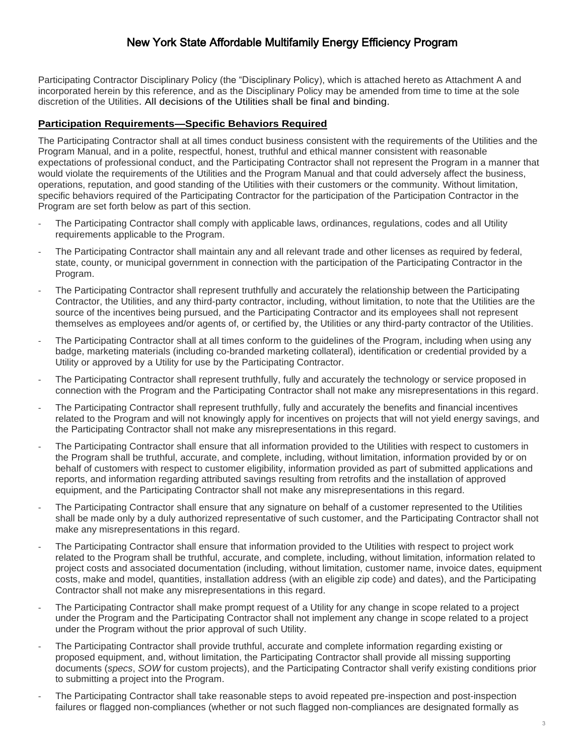Participating Contractor Disciplinary Policy (the "Disciplinary Policy), which is attached hereto as Attachment A and incorporated herein by this reference, and as the Disciplinary Policy may be amended from time to time at the sole discretion of the Utilities. All decisions of the Utilities shall be final and binding.

#### **Participation Requirements—Specific Behaviors Required**

The Participating Contractor shall at all times conduct business consistent with the requirements of the Utilities and the Program Manual, and in a polite, respectful, honest, truthful and ethical manner consistent with reasonable expectations of professional conduct, and the Participating Contractor shall not represent the Program in a manner that would violate the requirements of the Utilities and the Program Manual and that could adversely affect the business, operations, reputation, and good standing of the Utilities with their customers or the community. Without limitation, specific behaviors required of the Participating Contractor for the participation of the Participation Contractor in the Program are set forth below as part of this section.

- The Participating Contractor shall comply with applicable laws, ordinances, regulations, codes and all Utility requirements applicable to the Program.
- The Participating Contractor shall maintain any and all relevant trade and other licenses as required by federal, state, county, or municipal government in connection with the participation of the Participating Contractor in the Program.
- The Participating Contractor shall represent truthfully and accurately the relationship between the Participating Contractor, the Utilities, and any third-party contractor, including, without limitation, to note that the Utilities are the source of the incentives being pursued, and the Participating Contractor and its employees shall not represent themselves as employees and/or agents of, or certified by, the Utilities or any third-party contractor of the Utilities.
- The Participating Contractor shall at all times conform to the guidelines of the Program, including when using any badge, marketing materials (including co-branded marketing collateral), identification or credential provided by a Utility or approved by a Utility for use by the Participating Contractor.
- The Participating Contractor shall represent truthfully, fully and accurately the technology or service proposed in connection with the Program and the Participating Contractor shall not make any misrepresentations in this regard.
- The Participating Contractor shall represent truthfully, fully and accurately the benefits and financial incentives related to the Program and will not knowingly apply for incentives on projects that will not yield energy savings, and the Participating Contractor shall not make any misrepresentations in this regard.
- The Participating Contractor shall ensure that all information provided to the Utilities with respect to customers in the Program shall be truthful, accurate, and complete, including, without limitation, information provided by or on behalf of customers with respect to customer eligibility, information provided as part of submitted applications and reports, and information regarding attributed savings resulting from retrofits and the installation of approved equipment, and the Participating Contractor shall not make any misrepresentations in this regard.
- The Participating Contractor shall ensure that any signature on behalf of a customer represented to the Utilities shall be made only by a duly authorized representative of such customer, and the Participating Contractor shall not make any misrepresentations in this regard.
- The Participating Contractor shall ensure that information provided to the Utilities with respect to project work related to the Program shall be truthful, accurate, and complete, including, without limitation, information related to project costs and associated documentation (including, without limitation, customer name, invoice dates, equipment costs, make and model, quantities, installation address (with an eligible zip code) and dates), and the Participating Contractor shall not make any misrepresentations in this regard.
- The Participating Contractor shall make prompt request of a Utility for any change in scope related to a project under the Program and the Participating Contractor shall not implement any change in scope related to a project under the Program without the prior approval of such Utility.
- The Participating Contractor shall provide truthful, accurate and complete information regarding existing or proposed equipment, and, without limitation, the Participating Contractor shall provide all missing supporting documents (*specs*, *SOW* for custom projects), and the Participating Contractor shall verify existing conditions prior to submitting a project into the Program.
- The Participating Contractor shall take reasonable steps to avoid repeated pre-inspection and post-inspection failures or flagged non-compliances (whether or not such flagged non-compliances are designated formally as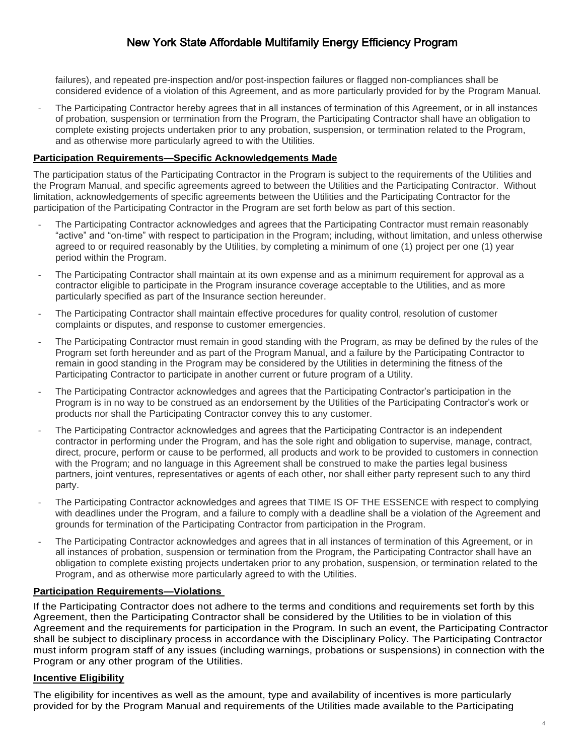failures), and repeated pre-inspection and/or post-inspection failures or flagged non-compliances shall be considered evidence of a violation of this Agreement, and as more particularly provided for by the Program Manual.

The Participating Contractor hereby agrees that in all instances of termination of this Agreement, or in all instances of probation, suspension or termination from the Program, the Participating Contractor shall have an obligation to complete existing projects undertaken prior to any probation, suspension, or termination related to the Program, and as otherwise more particularly agreed to with the Utilities.

#### **Participation Requirements—Specific Acknowledgements Made**

The participation status of the Participating Contractor in the Program is subject to the requirements of the Utilities and the Program Manual, and specific agreements agreed to between the Utilities and the Participating Contractor. Without limitation, acknowledgements of specific agreements between the Utilities and the Participating Contractor for the participation of the Participating Contractor in the Program are set forth below as part of this section.

- The Participating Contractor acknowledges and agrees that the Participating Contractor must remain reasonably "active" and "on-time" with respect to participation in the Program; including, without limitation, and unless otherwise agreed to or required reasonably by the Utilities, by completing a minimum of one (1) project per one (1) year period within the Program.
- The Participating Contractor shall maintain at its own expense and as a minimum requirement for approval as a contractor eligible to participate in the Program insurance coverage acceptable to the Utilities, and as more particularly specified as part of the Insurance section hereunder.
- The Participating Contractor shall maintain effective procedures for quality control, resolution of customer complaints or disputes, and response to customer emergencies.
- The Participating Contractor must remain in good standing with the Program, as may be defined by the rules of the Program set forth hereunder and as part of the Program Manual, and a failure by the Participating Contractor to remain in good standing in the Program may be considered by the Utilities in determining the fitness of the Participating Contractor to participate in another current or future program of a Utility.
- The Participating Contractor acknowledges and agrees that the Participating Contractor's participation in the Program is in no way to be construed as an endorsement by the Utilities of the Participating Contractor's work or products nor shall the Participating Contractor convey this to any customer.
- The Participating Contractor acknowledges and agrees that the Participating Contractor is an independent contractor in performing under the Program, and has the sole right and obligation to supervise, manage, contract, direct, procure, perform or cause to be performed, all products and work to be provided to customers in connection with the Program; and no language in this Agreement shall be construed to make the parties legal business partners, joint ventures, representatives or agents of each other, nor shall either party represent such to any third party.
- The Participating Contractor acknowledges and agrees that TIME IS OF THE ESSENCE with respect to complying with deadlines under the Program, and a failure to comply with a deadline shall be a violation of the Agreement and grounds for termination of the Participating Contractor from participation in the Program.
- The Participating Contractor acknowledges and agrees that in all instances of termination of this Agreement, or in all instances of probation, suspension or termination from the Program, the Participating Contractor shall have an obligation to complete existing projects undertaken prior to any probation, suspension, or termination related to the Program, and as otherwise more particularly agreed to with the Utilities.

#### **Participation Requirements—Violations**

If the Participating Contractor does not adhere to the terms and conditions and requirements set forth by this Agreement, then the Participating Contractor shall be considered by the Utilities to be in violation of this Agreement and the requirements for participation in the Program. In such an event, the Participating Contractor shall be subject to disciplinary process in accordance with the Disciplinary Policy. The Participating Contractor must inform program staff of any issues (including warnings, probations or suspensions) in connection with the Program or any other program of the Utilities.

#### **Incentive Eligibility**

The eligibility for incentives as well as the amount, type and availability of incentives is more particularly provided for by the Program Manual and requirements of the Utilities made available to the Participating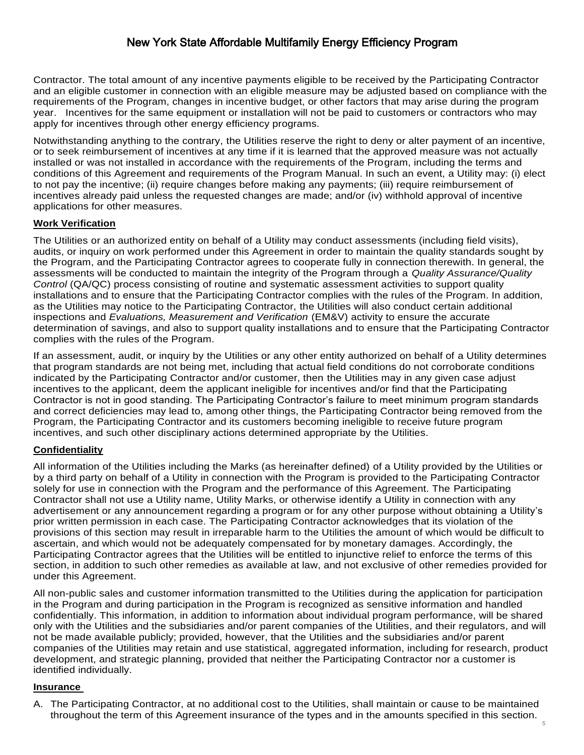Contractor. The total amount of any incentive payments eligible to be received by the Participating Contractor and an eligible customer in connection with an eligible measure may be adjusted based on compliance with the requirements of the Program, changes in incentive budget, or other factors that may arise during the program year. Incentives for the same equipment or installation will not be paid to customers or contractors who may apply for incentives through other energy efficiency programs.

Notwithstanding anything to the contrary, the Utilities reserve the right to deny or alter payment of an incentive, or to seek reimbursement of incentives at any time if it is learned that the approved measure was not actually installed or was not installed in accordance with the requirements of the Program, including the terms and conditions of this Agreement and requirements of the Program Manual. In such an event, a Utility may: (i) elect to not pay the incentive; (ii) require changes before making any payments; (iii) require reimbursement of incentives already paid unless the requested changes are made; and/or (iv) withhold approval of incentive applications for other measures.

#### **Work Verification**

The Utilities or an authorized entity on behalf of a Utility may conduct assessments (including field visits), audits, or inquiry on work performed under this Agreement in order to maintain the quality standards sought by the Program, and the Participating Contractor agrees to cooperate fully in connection therewith. In general, the assessments will be conducted to maintain the integrity of the Program through a *Quality Assurance/Quality Control* (QA/QC) process consisting of routine and systematic assessment activities to support quality installations and to ensure that the Participating Contractor complies with the rules of the Program. In addition, as the Utilities may notice to the Participating Contractor, the Utilities will also conduct certain additional inspections and *Evaluations, Measurement and Verification* (EM&V) activity to ensure the accurate determination of savings, and also to support quality installations and to ensure that the Participating Contractor complies with the rules of the Program.

If an assessment, audit, or inquiry by the Utilities or any other entity authorized on behalf of a Utility determines that program standards are not being met, including that actual field conditions do not corroborate conditions indicated by the Participating Contractor and/or customer, then the Utilities may in any given case adjust incentives to the applicant, deem the applicant ineligible for incentives and/or find that the Participating Contractor is not in good standing. The Participating Contractor's failure to meet minimum program standards and correct deficiencies may lead to, among other things, the Participating Contractor being removed from the Program, the Participating Contractor and its customers becoming ineligible to receive future program incentives, and such other disciplinary actions determined appropriate by the Utilities.

#### **Confidentiality**

All information of the Utilities including the Marks (as hereinafter defined) of a Utility provided by the Utilities or by a third party on behalf of a Utility in connection with the Program is provided to the Participating Contractor solely for use in connection with the Program and the performance of this Agreement. The Participating Contractor shall not use a Utility name, Utility Marks, or otherwise identify a Utility in connection with any advertisement or any announcement regarding a program or for any other purpose without obtaining a Utility's prior written permission in each case. The Participating Contractor acknowledges that its violation of the provisions of this section may result in irreparable harm to the Utilities the amount of which would be difficult to ascertain, and which would not be adequately compensated for by monetary damages. Accordingly, the Participating Contractor agrees that the Utilities will be entitled to injunctive relief to enforce the terms of this section, in addition to such other remedies as available at law, and not exclusive of other remedies provided for under this Agreement.

All non-public sales and customer information transmitted to the Utilities during the application for participation in the Program and during participation in the Program is recognized as sensitive information and handled confidentially. This information, in addition to information about individual program performance, will be shared only with the Utilities and the subsidiaries and/or parent companies of the Utilities, and their regulators, and will not be made available publicly; provided, however, that the Utilities and the subsidiaries and/or parent companies of the Utilities may retain and use statistical, aggregated information, including for research, product development, and strategic planning, provided that neither the Participating Contractor nor a customer is identified individually.

#### **Insurance**

A. The Participating Contractor, at no additional cost to the Utilities, shall maintain or cause to be maintained throughout the term of this Agreement insurance of the types and in the amounts specified in this section.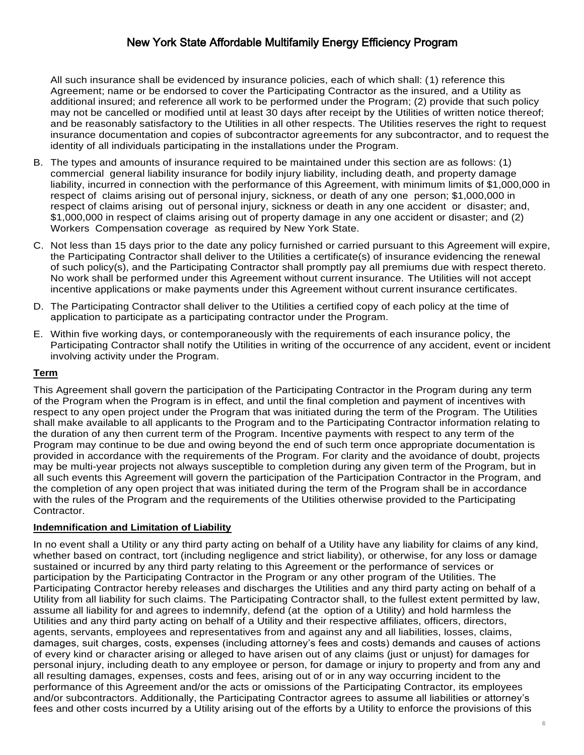All such insurance shall be evidenced by insurance policies, each of which shall: (1) reference this Agreement; name or be endorsed to cover the Participating Contractor as the insured, and a Utility as additional insured; and reference all work to be performed under the Program; (2) provide that such policy may not be cancelled or modified until at least 30 days after receipt by the Utilities of written notice thereof; and be reasonably satisfactory to the Utilities in all other respects. The Utilities reserves the right to request insurance documentation and copies of subcontractor agreements for any subcontractor, and to request the identity of all individuals participating in the installations under the Program.

- B. The types and amounts of insurance required to be maintained under this section are as follows: (1) commercial general liability insurance for bodily injury liability, including death, and property damage liability, incurred in connection with the performance of this Agreement, with minimum limits of \$1,000,000 in respect of claims arising out of personal injury, sickness, or death of any one person; \$1,000,000 in respect of claims arising out of personal injury, sickness or death in any one accident or disaster; and, \$1,000,000 in respect of claims arising out of property damage in any one accident or disaster; and (2) Workers Compensation coverage as required by New York State.
- C. Not less than 15 days prior to the date any policy furnished or carried pursuant to this Agreement will expire, the Participating Contractor shall deliver to the Utilities a certificate(s) of insurance evidencing the renewal of such policy(s), and the Participating Contractor shall promptly pay all premiums due with respect thereto. No work shall be performed under this Agreement without current insurance. The Utilities will not accept incentive applications or make payments under this Agreement without current insurance certificates.
- D. The Participating Contractor shall deliver to the Utilities a certified copy of each policy at the time of application to participate as a participating contractor under the Program.
- E. Within five working days, or contemporaneously with the requirements of each insurance policy, the Participating Contractor shall notify the Utilities in writing of the occurrence of any accident, event or incident involving activity under the Program.

#### **Term**

This Agreement shall govern the participation of the Participating Contractor in the Program during any term of the Program when the Program is in effect, and until the final completion and payment of incentives with respect to any open project under the Program that was initiated during the term of the Program. The Utilities shall make available to all applicants to the Program and to the Participating Contractor information relating to the duration of any then current term of the Program. Incentive payments with respect to any term of the Program may continue to be due and owing beyond the end of such term once appropriate documentation is provided in accordance with the requirements of the Program. For clarity and the avoidance of doubt, projects may be multi-year projects not always susceptible to completion during any given term of the Program, but in all such events this Agreement will govern the participation of the Participation Contractor in the Program, and the completion of any open project that was initiated during the term of the Program shall be in accordance with the rules of the Program and the requirements of the Utilities otherwise provided to the Participating Contractor.

#### **Indemnification and Limitation of Liability**

In no event shall a Utility or any third party acting on behalf of a Utility have any liability for claims of any kind, whether based on contract, tort (including negligence and strict liability), or otherwise, for any loss or damage sustained or incurred by any third party relating to this Agreement or the performance of services or participation by the Participating Contractor in the Program or any other program of the Utilities. The Participating Contractor hereby releases and discharges the Utilities and any third party acting on behalf of a Utility from all liability for such claims. The Participating Contractor shall, to the fullest extent permitted by law, assume all liability for and agrees to indemnify, defend (at the option of a Utility) and hold harmless the Utilities and any third party acting on behalf of a Utility and their respective affiliates, officers, directors, agents, servants, employees and representatives from and against any and all liabilities, losses, claims, damages, suit charges, costs, expenses (including attorney's fees and costs) demands and causes of actions of every kind or character arising or alleged to have arisen out of any claims (just or unjust) for damages for personal injury, including death to any employee or person, for damage or injury to property and from any and all resulting damages, expenses, costs and fees, arising out of or in any way occurring incident to the performance of this Agreement and/or the acts or omissions of the Participating Contractor, its employees and/or subcontractors. Additionally, the Participating Contractor agrees to assume all liabilities or attorney's fees and other costs incurred by a Utility arising out of the efforts by a Utility to enforce the provisions of this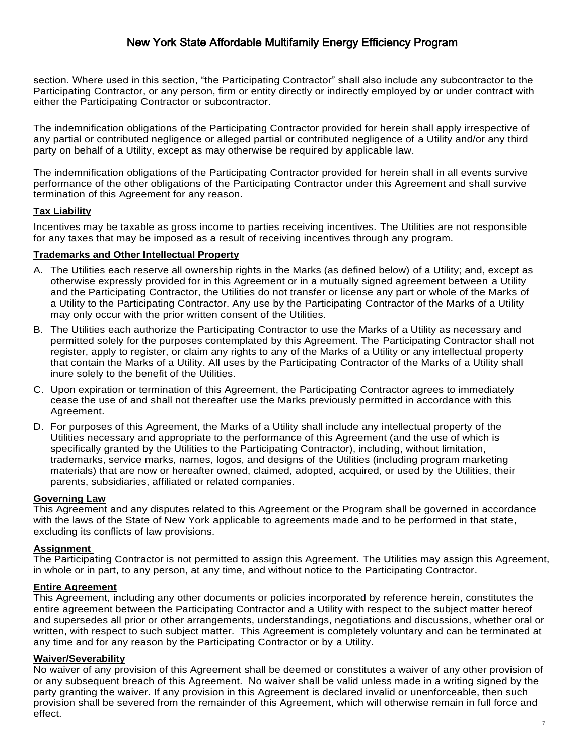section. Where used in this section, "the Participating Contractor" shall also include any subcontractor to the Participating Contractor, or any person, firm or entity directly or indirectly employed by or under contract with either the Participating Contractor or subcontractor.

The indemnification obligations of the Participating Contractor provided for herein shall apply irrespective of any partial or contributed negligence or alleged partial or contributed negligence of a Utility and/or any third party on behalf of a Utility, except as may otherwise be required by applicable law.

The indemnification obligations of the Participating Contractor provided for herein shall in all events survive performance of the other obligations of the Participating Contractor under this Agreement and shall survive termination of this Agreement for any reason.

#### **Tax Liability**

Incentives may be taxable as gross income to parties receiving incentives. The Utilities are not responsible for any taxes that may be imposed as a result of receiving incentives through any program.

#### **Trademarks and Other Intellectual Property**

- A. The Utilities each reserve all ownership rights in the Marks (as defined below) of a Utility; and, except as otherwise expressly provided for in this Agreement or in a mutually signed agreement between a Utility and the Participating Contractor, the Utilities do not transfer or license any part or whole of the Marks of a Utility to the Participating Contractor. Any use by the Participating Contractor of the Marks of a Utility may only occur with the prior written consent of the Utilities.
- B. The Utilities each authorize the Participating Contractor to use the Marks of a Utility as necessary and permitted solely for the purposes contemplated by this Agreement. The Participating Contractor shall not register, apply to register, or claim any rights to any of the Marks of a Utility or any intellectual property that contain the Marks of a Utility. All uses by the Participating Contractor of the Marks of a Utility shall inure solely to the benefit of the Utilities.
- C. Upon expiration or termination of this Agreement, the Participating Contractor agrees to immediately cease the use of and shall not thereafter use the Marks previously permitted in accordance with this Agreement.
- D. For purposes of this Agreement, the Marks of a Utility shall include any intellectual property of the Utilities necessary and appropriate to the performance of this Agreement (and the use of which is specifically granted by the Utilities to the Participating Contractor), including, without limitation, trademarks, service marks, names, logos, and designs of the Utilities (including program marketing materials) that are now or hereafter owned, claimed, adopted, acquired, or used by the Utilities, their parents, subsidiaries, affiliated or related companies.

#### **Governing Law**

This Agreement and any disputes related to this Agreement or the Program shall be governed in accordance with the laws of the State of New York applicable to agreements made and to be performed in that state, excluding its conflicts of law provisions.

## **Assignment**

The Participating Contractor is not permitted to assign this Agreement. The Utilities may assign this Agreement, in whole or in part, to any person, at any time, and without notice to the Participating Contractor.

#### **Entire Agreement**

This Agreement, including any other documents or policies incorporated by reference herein, constitutes the entire agreement between the Participating Contractor and a Utility with respect to the subject matter hereof and supersedes all prior or other arrangements, understandings, negotiations and discussions, whether oral or written, with respect to such subject matter. This Agreement is completely voluntary and can be terminated at any time and for any reason by the Participating Contractor or by a Utility.

#### **Waiver/Severability**

No waiver of any provision of this Agreement shall be deemed or constitutes a waiver of any other provision of or any subsequent breach of this Agreement. No waiver shall be valid unless made in a writing signed by the party granting the waiver. If any provision in this Agreement is declared invalid or unenforceable, then such provision shall be severed from the remainder of this Agreement, which will otherwise remain in full force and effect.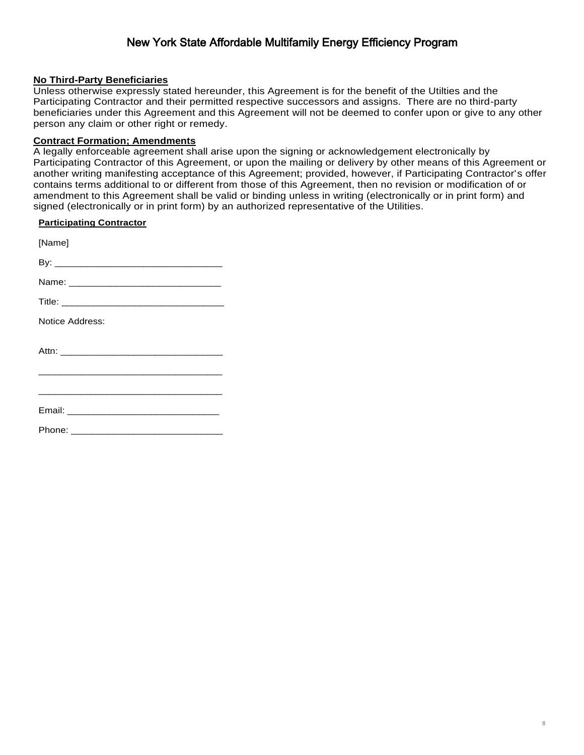#### **No Third-Party Beneficiaries**

Unless otherwise expressly stated hereunder, this Agreement is for the benefit of the Utilties and the Participating Contractor and their permitted respective successors and assigns. There are no third-party beneficiaries under this Agreement and this Agreement will not be deemed to confer upon or give to any other person any claim or other right or remedy.

#### **Contract Formation; Amendments**

A legally enforceable agreement shall arise upon the signing or acknowledgement electronically by Participating Contractor of this Agreement, or upon the mailing or delivery by other means of this Agreement or another writing manifesting acceptance of this Agreement; provided, however, if Participating Contractor's offer contains terms additional to or different from those of this Agreement, then no revision or modification of or amendment to this Agreement shall be valid or binding unless in writing (electronically or in print form) and signed (electronically or in print form) by an authorized representative of the Utilities.

#### **Participating Contractor**

[Name] By: \_\_\_\_\_\_\_\_\_\_\_\_\_\_\_\_\_\_\_\_\_\_\_\_\_\_\_\_\_\_\_\_ Name: \_\_\_\_\_\_\_\_\_\_\_\_\_\_\_\_\_\_\_\_\_\_\_\_\_\_\_\_\_ Title: Notice Address: Attn: \_\_\_\_\_\_\_\_\_\_\_\_\_\_\_\_\_\_\_\_\_\_\_\_\_\_\_\_\_\_\_ \_\_\_\_\_\_\_\_\_\_\_\_\_\_\_\_\_\_\_\_\_\_\_\_\_\_\_\_\_\_\_\_\_\_\_ \_\_\_\_\_\_\_\_\_\_\_\_\_\_\_\_\_\_\_\_\_\_\_\_\_\_\_\_\_\_\_\_\_\_\_ Email: **Email: Email: Email: Email: Email: Email: Email: Email: Email: Email: Email: Email: Email: Email: Email: Email: Email: Email: Email: Email: Email: Email: Email: Email:** 

Phone: \_\_\_\_\_\_\_\_\_\_\_\_\_\_\_\_\_\_\_\_\_\_\_\_\_\_\_\_\_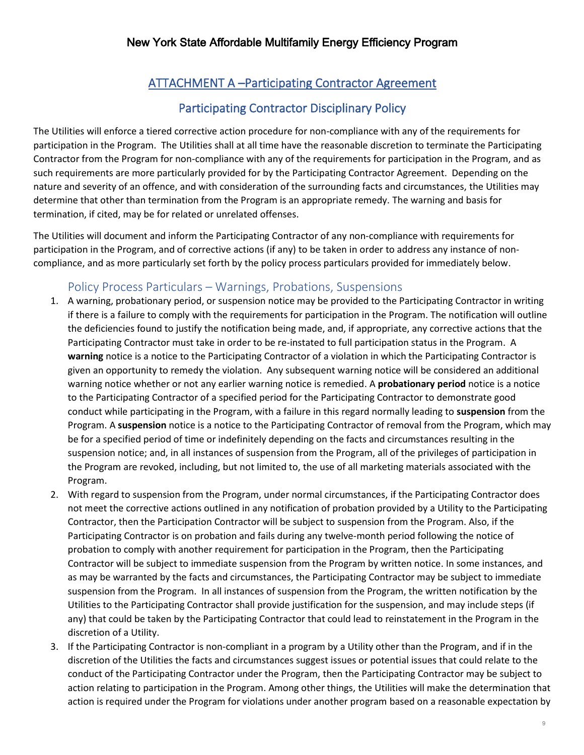# ATTACHMENT A –Participating Contractor Agreement

# Participating Contractor Disciplinary Policy

The Utilities will enforce a tiered corrective action procedure for non-compliance with any of the requirements for participation in the Program. The Utilities shall at all time have the reasonable discretion to terminate the Participating Contractor from the Program for non-compliance with any of the requirements for participation in the Program, and as such requirements are more particularly provided for by the Participating Contractor Agreement. Depending on the nature and severity of an offence, and with consideration of the surrounding facts and circumstances, the Utilities may determine that other than termination from the Program is an appropriate remedy. The warning and basis for termination, if cited, may be for related or unrelated offenses.

The Utilities will document and inform the Participating Contractor of any non-compliance with requirements for participation in the Program, and of corrective actions (if any) to be taken in order to address any instance of noncompliance, and as more particularly set forth by the policy process particulars provided for immediately below.

## Policy Process Particulars – Warnings, Probations, Suspensions

- 1. A warning, probationary period, or suspension notice may be provided to the Participating Contractor in writing if there is a failure to comply with the requirements for participation in the Program. The notification will outline the deficiencies found to justify the notification being made, and, if appropriate, any corrective actions that the Participating Contractor must take in order to be re-instated to full participation status in the Program. A **warning** notice is a notice to the Participating Contractor of a violation in which the Participating Contractor is given an opportunity to remedy the violation. Any subsequent warning notice will be considered an additional warning notice whether or not any earlier warning notice is remedied. A **probationary period** notice is a notice to the Participating Contractor of a specified period for the Participating Contractor to demonstrate good conduct while participating in the Program, with a failure in this regard normally leading to **suspension** from the Program. A **suspension** notice is a notice to the Participating Contractor of removal from the Program, which may be for a specified period of time or indefinitely depending on the facts and circumstances resulting in the suspension notice; and, in all instances of suspension from the Program, all of the privileges of participation in the Program are revoked, including, but not limited to, the use of all marketing materials associated with the Program.
- 2. With regard to suspension from the Program, under normal circumstances, if the Participating Contractor does not meet the corrective actions outlined in any notification of probation provided by a Utility to the Participating Contractor, then the Participation Contractor will be subject to suspension from the Program. Also, if the Participating Contractor is on probation and fails during any twelve-month period following the notice of probation to comply with another requirement for participation in the Program, then the Participating Contractor will be subject to immediate suspension from the Program by written notice. In some instances, and as may be warranted by the facts and circumstances, the Participating Contractor may be subject to immediate suspension from the Program. In all instances of suspension from the Program, the written notification by the Utilities to the Participating Contractor shall provide justification for the suspension, and may include steps (if any) that could be taken by the Participating Contractor that could lead to reinstatement in the Program in the discretion of a Utility.
- 3. If the Participating Contractor is non-compliant in a program by a Utility other than the Program, and if in the discretion of the Utilities the facts and circumstances suggest issues or potential issues that could relate to the conduct of the Participating Contractor under the Program, then the Participating Contractor may be subject to action relating to participation in the Program. Among other things, the Utilities will make the determination that action is required under the Program for violations under another program based on a reasonable expectation by